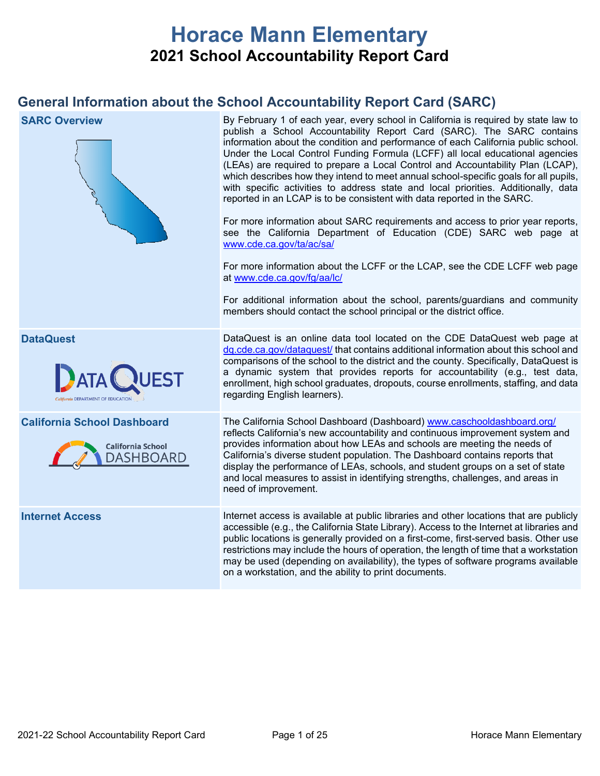# **Horace Mann Elementary 2021 School Accountability Report Card**

## **General Information about the School Accountability Report Card (SARC)**

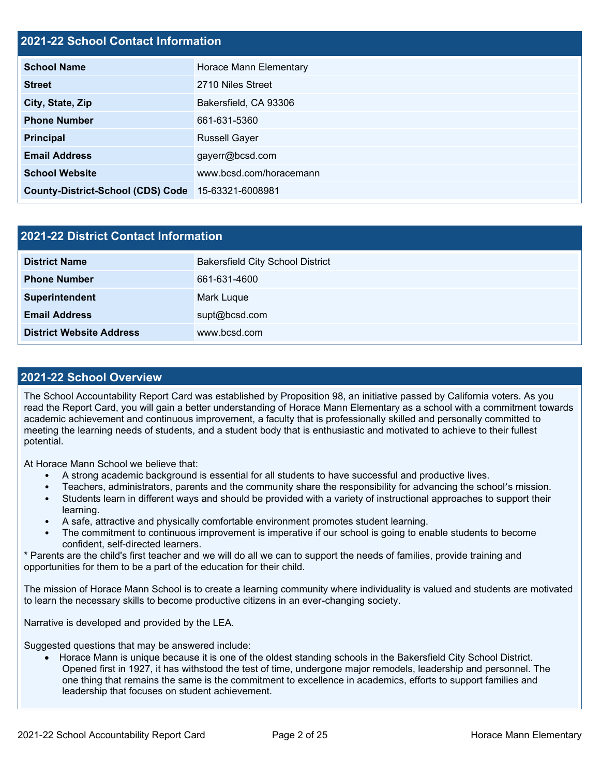## **2021-22 School Contact Information**

| <b>School Name</b>                       | Horace Mann Elementary  |
|------------------------------------------|-------------------------|
| <b>Street</b>                            | 2710 Niles Street       |
| City, State, Zip                         | Bakersfield, CA 93306   |
| <b>Phone Number</b>                      | 661-631-5360            |
| <b>Principal</b>                         | <b>Russell Gayer</b>    |
| <b>Email Address</b>                     | gayerr@bcsd.com         |
| <b>School Website</b>                    | www.bcsd.com/horacemann |
| <b>County-District-School (CDS) Code</b> | 15-63321-6008981        |

| 2021-22 District Contact Information |                                         |  |  |  |
|--------------------------------------|-----------------------------------------|--|--|--|
| <b>District Name</b>                 | <b>Bakersfield City School District</b> |  |  |  |
| <b>Phone Number</b>                  | 661-631-4600                            |  |  |  |
| Superintendent                       | Mark Luque                              |  |  |  |
| <b>Email Address</b>                 | supt@bcsd.com                           |  |  |  |
| <b>District Website Address</b>      | www.bcsd.com                            |  |  |  |

## **2021-22 School Overview**

The School Accountability Report Card was established by Proposition 98, an initiative passed by California voters. As you read the Report Card, you will gain a better understanding of Horace Mann Elementary as a school with a commitment towards academic achievement and continuous improvement, a faculty that is professionally skilled and personally committed to meeting the learning needs of students, and a student body that is enthusiastic and motivated to achieve to their fullest potential.

At Horace Mann School we believe that:

- A strong academic background is essential for all students to have successful and productive lives.
- Teachers, administrators, parents and the community share the responsibility for advancing the school's mission.
- Students learn in different ways and should be provided with a variety of instructional approaches to support their learning.
- A safe, attractive and physically comfortable environment promotes student learning.
- The commitment to continuous improvement is imperative if our school is going to enable students to become confident, self-directed learners.

\* Parents are the child's first teacher and we will do all we can to support the needs of families, provide training and opportunities for them to be a part of the education for their child.

The mission of Horace Mann School is to create a learning community where individuality is valued and students are motivated to learn the necessary skills to become productive citizens in an ever-changing society.

Narrative is developed and provided by the LEA.

Suggested questions that may be answered include:

• Horace Mann is unique because it is one of the oldest standing schools in the Bakersfield City School District. Opened first in 1927, it has withstood the test of time, undergone major remodels, leadership and personnel. The one thing that remains the same is the commitment to excellence in academics, efforts to support families and leadership that focuses on student achievement.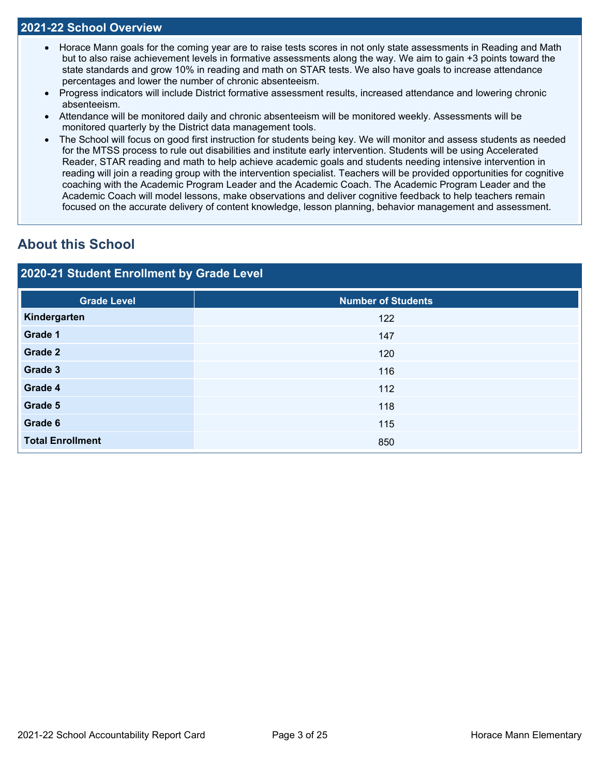### **2021-22 School Overview**

- Horace Mann goals for the coming year are to raise tests scores in not only state assessments in Reading and Math but to also raise achievement levels in formative assessments along the way. We aim to gain +3 points toward the state standards and grow 10% in reading and math on STAR tests. We also have goals to increase attendance percentages and lower the number of chronic absenteeism.
- Progress indicators will include District formative assessment results, increased attendance and lowering chronic absenteeism.
- Attendance will be monitored daily and chronic absenteeism will be monitored weekly. Assessments will be monitored quarterly by the District data management tools.
- The School will focus on good first instruction for students being key. We will monitor and assess students as needed for the MTSS process to rule out disabilities and institute early intervention. Students will be using Accelerated Reader, STAR reading and math to help achieve academic goals and students needing intensive intervention in reading will join a reading group with the intervention specialist. Teachers will be provided opportunities for cognitive coaching with the Academic Program Leader and the Academic Coach. The Academic Program Leader and the Academic Coach will model lessons, make observations and deliver cognitive feedback to help teachers remain focused on the accurate delivery of content knowledge, lesson planning, behavior management and assessment.

## **About this School**

## **2020-21 Student Enrollment by Grade Level**

| <b>Grade Level</b>      | <b>Number of Students</b> |
|-------------------------|---------------------------|
| Kindergarten            | 122                       |
| Grade 1                 | 147                       |
| Grade 2                 | 120                       |
| Grade 3                 | 116                       |
| Grade 4                 | 112                       |
| Grade 5                 | 118                       |
| Grade 6                 | 115                       |
| <b>Total Enrollment</b> | 850                       |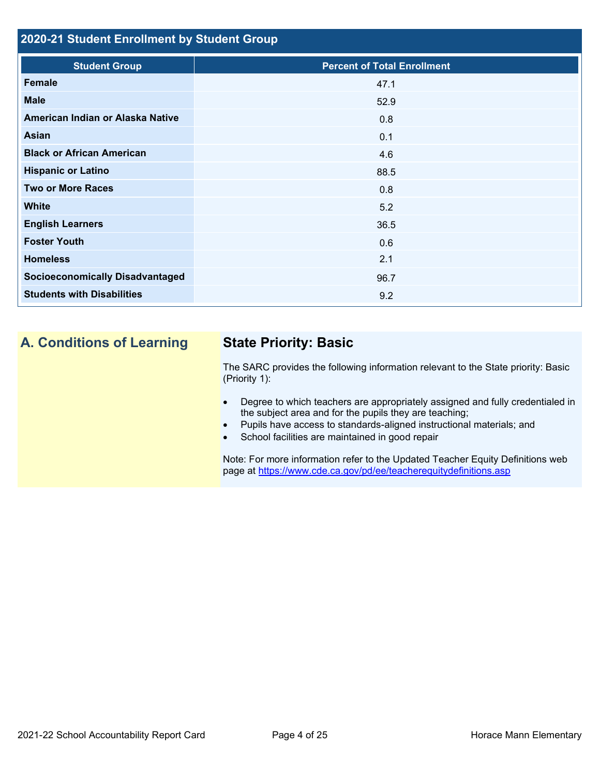## **2020-21 Student Enrollment by Student Group**

| <b>Student Group</b>                   | <b>Percent of Total Enrollment</b> |
|----------------------------------------|------------------------------------|
| Female                                 | 47.1                               |
| <b>Male</b>                            | 52.9                               |
| American Indian or Alaska Native       | 0.8                                |
| Asian                                  | 0.1                                |
| <b>Black or African American</b>       | 4.6                                |
| <b>Hispanic or Latino</b>              | 88.5                               |
| <b>Two or More Races</b>               | 0.8                                |
| <b>White</b>                           | 5.2                                |
| <b>English Learners</b>                | 36.5                               |
| <b>Foster Youth</b>                    | 0.6                                |
| <b>Homeless</b>                        | 2.1                                |
| <b>Socioeconomically Disadvantaged</b> | 96.7                               |
| <b>Students with Disabilities</b>      | 9.2                                |
|                                        |                                    |
|                                        |                                    |

## **A. Conditions of Learning State Priority: Basic**

The SARC provides the following information relevant to the State priority: Basic (Priority 1):

- Degree to which teachers are appropriately assigned and fully credentialed in the subject area and for the pupils they are teaching;
- Pupils have access to standards-aligned instructional materials; and
- School facilities are maintained in good repair

Note: For more information refer to the Updated Teacher Equity Definitions web page at<https://www.cde.ca.gov/pd/ee/teacherequitydefinitions.asp>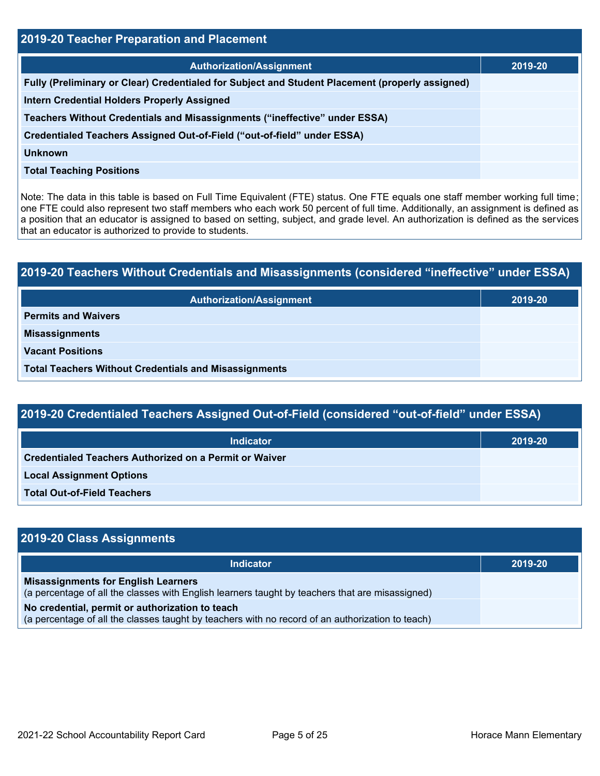| <b>2019-20 Teacher Preparation and Placement</b>                                                |         |  |  |  |  |
|-------------------------------------------------------------------------------------------------|---------|--|--|--|--|
| <b>Authorization/Assignment</b>                                                                 | 2019-20 |  |  |  |  |
| Fully (Preliminary or Clear) Credentialed for Subject and Student Placement (properly assigned) |         |  |  |  |  |
| <b>Intern Credential Holders Properly Assigned</b>                                              |         |  |  |  |  |
| Teachers Without Credentials and Misassignments ("ineffective" under ESSA)                      |         |  |  |  |  |
| Credentialed Teachers Assigned Out-of-Field ("out-of-field" under ESSA)                         |         |  |  |  |  |
| Unknown                                                                                         |         |  |  |  |  |
| <b>Total Teaching Positions</b>                                                                 |         |  |  |  |  |

Note: The data in this table is based on Full Time Equivalent (FTE) status. One FTE equals one staff member working full time; one FTE could also represent two staff members who each work 50 percent of full time. Additionally, an assignment is defined as a position that an educator is assigned to based on setting, subject, and grade level. An authorization is defined as the services that an educator is authorized to provide to students.

# **2019-20 Teachers Without Credentials and Misassignments (considered "ineffective" under ESSA) Authorization/Assignment 2019-20 Permits and Waivers Misassignments Vacant Positions Total Teachers Without Credentials and Misassignments**

## **2019-20 Credentialed Teachers Assigned Out-of-Field (considered "out-of-field" under ESSA)**

| <b>Indicator</b>                                              | 2019-20 |
|---------------------------------------------------------------|---------|
| <b>Credentialed Teachers Authorized on a Permit or Waiver</b> |         |
| <b>Local Assignment Options</b>                               |         |
| <b>Total Out-of-Field Teachers</b>                            |         |

## **2019-20 Class Assignments Indicator 2019-20 Misassignments for English Learners** (a percentage of all the classes with English learners taught by teachers that are misassigned) **No credential, permit or authorization to teach** (a percentage of all the classes taught by teachers with no record of an authorization to teach)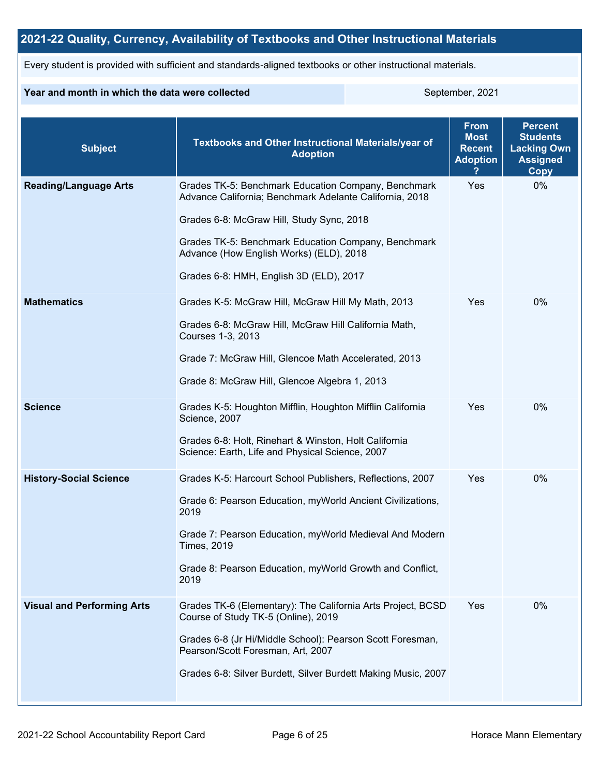## **2021-22 Quality, Currency, Availability of Textbooks and Other Instructional Materials**

Every student is provided with sufficient and standards-aligned textbooks or other instructional materials.

### **Year and month in which the data were collected** September, 2021

| <b>Subject</b>                    | <b>Textbooks and Other Instructional Materials/year of</b><br><b>Adoption</b>                                                                                                                                                                                                                            | <b>From</b><br><b>Most</b><br><b>Recent</b><br><b>Adoption</b> | <b>Percent</b><br><b>Students</b><br><b>Lacking Own</b><br><b>Assigned</b><br><b>Copy</b> |
|-----------------------------------|----------------------------------------------------------------------------------------------------------------------------------------------------------------------------------------------------------------------------------------------------------------------------------------------------------|----------------------------------------------------------------|-------------------------------------------------------------------------------------------|
| <b>Reading/Language Arts</b>      | Grades TK-5: Benchmark Education Company, Benchmark<br>Advance California; Benchmark Adelante California, 2018<br>Grades 6-8: McGraw Hill, Study Sync, 2018<br>Grades TK-5: Benchmark Education Company, Benchmark<br>Advance (How English Works) (ELD), 2018<br>Grades 6-8: HMH, English 3D (ELD), 2017 | Yes                                                            | 0%                                                                                        |
| <b>Mathematics</b>                | Grades K-5: McGraw Hill, McGraw Hill My Math, 2013<br>Grades 6-8: McGraw Hill, McGraw Hill California Math,<br>Courses 1-3, 2013<br>Grade 7: McGraw Hill, Glencoe Math Accelerated, 2013<br>Grade 8: McGraw Hill, Glencoe Algebra 1, 2013                                                                | Yes                                                            | $0\%$                                                                                     |
| <b>Science</b>                    | Grades K-5: Houghton Mifflin, Houghton Mifflin California<br>Science, 2007<br>Grades 6-8: Holt, Rinehart & Winston, Holt California<br>Science: Earth, Life and Physical Science, 2007                                                                                                                   | Yes                                                            | 0%                                                                                        |
| <b>History-Social Science</b>     | Grades K-5: Harcourt School Publishers, Reflections, 2007<br>Grade 6: Pearson Education, myWorld Ancient Civilizations,<br>2019<br>Grade 7: Pearson Education, myWorld Medieval And Modern<br><b>Times, 2019</b><br>Grade 8: Pearson Education, myWorld Growth and Conflict,<br>2019                     | Yes                                                            | 0%                                                                                        |
| <b>Visual and Performing Arts</b> | Grades TK-6 (Elementary): The California Arts Project, BCSD<br>Course of Study TK-5 (Online), 2019<br>Grades 6-8 (Jr Hi/Middle School): Pearson Scott Foresman,<br>Pearson/Scott Foresman, Art, 2007<br>Grades 6-8: Silver Burdett, Silver Burdett Making Music, 2007                                    | Yes                                                            | 0%                                                                                        |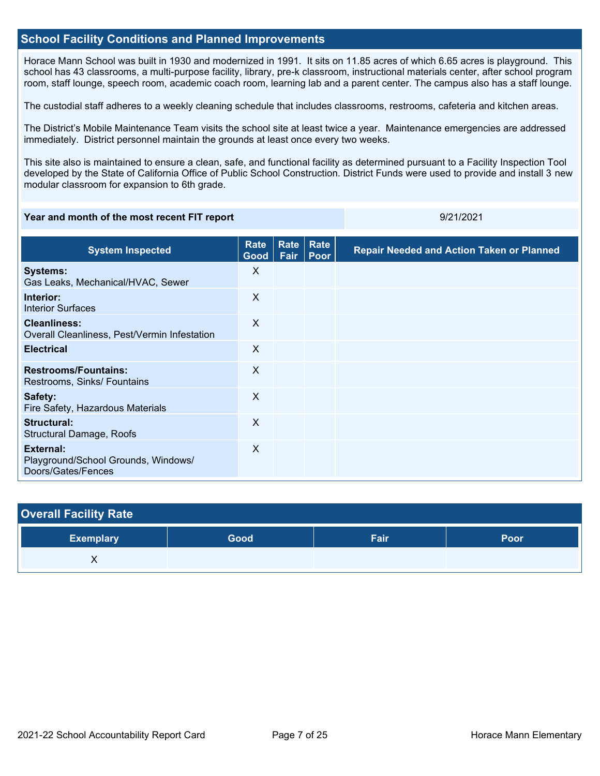## **School Facility Conditions and Planned Improvements**

Horace Mann School was built in 1930 and modernized in 1991. It sits on 11.85 acres of which 6.65 acres is playground. This school has 43 classrooms, a multi-purpose facility, library, pre-k classroom, instructional materials center, after school program room, staff lounge, speech room, academic coach room, learning lab and a parent center. The campus also has a staff lounge.

The custodial staff adheres to a weekly cleaning schedule that includes classrooms, restrooms, cafeteria and kitchen areas.

The District's Mobile Maintenance Team visits the school site at least twice a year. Maintenance emergencies are addressed immediately. District personnel maintain the grounds at least once every two weeks.

This site also is maintained to ensure a clean, safe, and functional facility as determined pursuant to a Facility Inspection Tool developed by the State of California Office of Public School Construction. District Funds were used to provide and install 3 new modular classroom for expansion to 6th grade.

#### **Year and month of the most recent FIT report** 8/21/2021

| <b>System Inspected</b>                                                | Rate<br>Good | <b>Rate Rate</b><br>Fair | <b>Poor</b> | <b>Repair Needed and Action Taken or Planned</b> |
|------------------------------------------------------------------------|--------------|--------------------------|-------------|--------------------------------------------------|
| <b>Systems:</b><br>Gas Leaks, Mechanical/HVAC, Sewer                   | X            |                          |             |                                                  |
| Interior:<br><b>Interior Surfaces</b>                                  | X            |                          |             |                                                  |
| <b>Cleanliness:</b><br>Overall Cleanliness, Pest/Vermin Infestation    | $\sf X$      |                          |             |                                                  |
| <b>Electrical</b>                                                      | X            |                          |             |                                                  |
| <b>Restrooms/Fountains:</b><br>Restrooms, Sinks/ Fountains             | $\times$     |                          |             |                                                  |
| Safety:<br>Fire Safety, Hazardous Materials                            | X            |                          |             |                                                  |
| Structural:<br>Structural Damage, Roofs                                | X            |                          |             |                                                  |
| External:<br>Playground/School Grounds, Windows/<br>Doors/Gates/Fences | $\sf X$      |                          |             |                                                  |

| <b>Overall Facility Rate</b> |      |      |      |
|------------------------------|------|------|------|
| <b>Exemplary</b>             | Good | Fair | Poor |
|                              |      |      |      |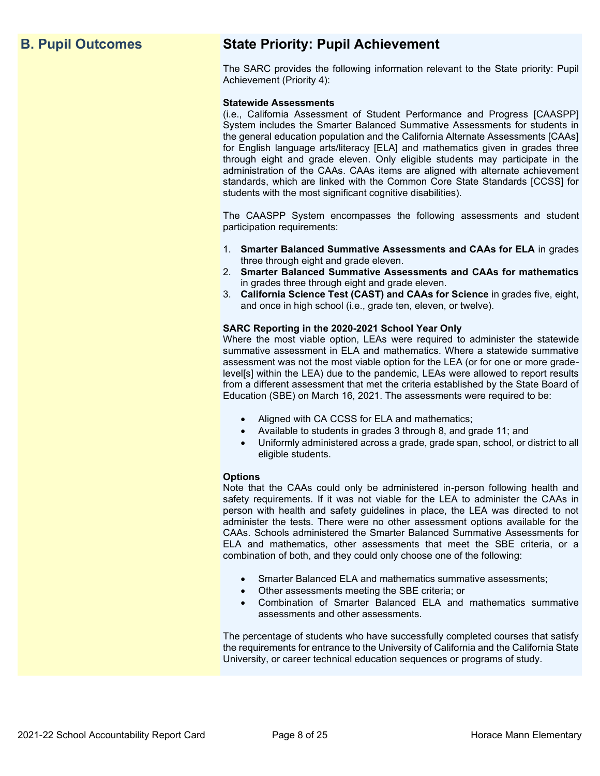## **B. Pupil Outcomes State Priority: Pupil Achievement**

The SARC provides the following information relevant to the State priority: Pupil Achievement (Priority 4):

#### **Statewide Assessments**

(i.e., California Assessment of Student Performance and Progress [CAASPP] System includes the Smarter Balanced Summative Assessments for students in the general education population and the California Alternate Assessments [CAAs] for English language arts/literacy [ELA] and mathematics given in grades three through eight and grade eleven. Only eligible students may participate in the administration of the CAAs. CAAs items are aligned with alternate achievement standards, which are linked with the Common Core State Standards [CCSS] for students with the most significant cognitive disabilities).

The CAASPP System encompasses the following assessments and student participation requirements:

- 1. **Smarter Balanced Summative Assessments and CAAs for ELA** in grades three through eight and grade eleven.
- 2. **Smarter Balanced Summative Assessments and CAAs for mathematics** in grades three through eight and grade eleven.
- 3. **California Science Test (CAST) and CAAs for Science** in grades five, eight, and once in high school (i.e., grade ten, eleven, or twelve).

#### **SARC Reporting in the 2020-2021 School Year Only**

Where the most viable option, LEAs were required to administer the statewide summative assessment in ELA and mathematics. Where a statewide summative assessment was not the most viable option for the LEA (or for one or more gradelevel[s] within the LEA) due to the pandemic, LEAs were allowed to report results from a different assessment that met the criteria established by the State Board of Education (SBE) on March 16, 2021. The assessments were required to be:

- Aligned with CA CCSS for ELA and mathematics;
- Available to students in grades 3 through 8, and grade 11; and
- Uniformly administered across a grade, grade span, school, or district to all eligible students.

#### **Options**

Note that the CAAs could only be administered in-person following health and safety requirements. If it was not viable for the LEA to administer the CAAs in person with health and safety guidelines in place, the LEA was directed to not administer the tests. There were no other assessment options available for the CAAs. Schools administered the Smarter Balanced Summative Assessments for ELA and mathematics, other assessments that meet the SBE criteria, or a combination of both, and they could only choose one of the following:

- Smarter Balanced ELA and mathematics summative assessments;
- Other assessments meeting the SBE criteria; or
- Combination of Smarter Balanced ELA and mathematics summative assessments and other assessments.

The percentage of students who have successfully completed courses that satisfy the requirements for entrance to the University of California and the California State University, or career technical education sequences or programs of study.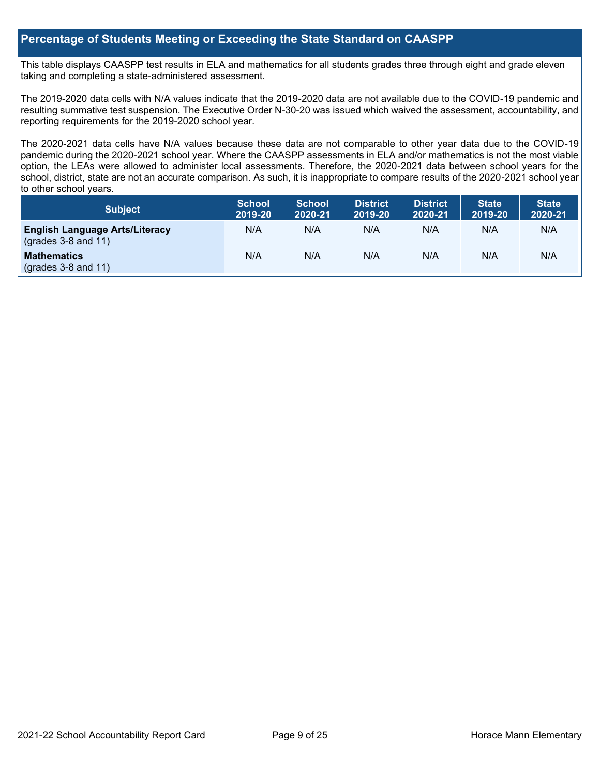## **Percentage of Students Meeting or Exceeding the State Standard on CAASPP**

This table displays CAASPP test results in ELA and mathematics for all students grades three through eight and grade eleven taking and completing a state-administered assessment.

The 2019-2020 data cells with N/A values indicate that the 2019-2020 data are not available due to the COVID-19 pandemic and resulting summative test suspension. The Executive Order N-30-20 was issued which waived the assessment, accountability, and reporting requirements for the 2019-2020 school year.

The 2020-2021 data cells have N/A values because these data are not comparable to other year data due to the COVID-19 pandemic during the 2020-2021 school year. Where the CAASPP assessments in ELA and/or mathematics is not the most viable option, the LEAs were allowed to administer local assessments. Therefore, the 2020-2021 data between school years for the school, district, state are not an accurate comparison. As such, it is inappropriate to compare results of the 2020-2021 school year to other school years.

| Subject                                                              | <b>School</b><br>2019-20 | <b>School</b><br>2020-21 | <b>District</b><br>2019-20 | <b>District</b><br>2020-21 | <b>State</b><br>2019-20 | <b>State</b><br>2020-21 |
|----------------------------------------------------------------------|--------------------------|--------------------------|----------------------------|----------------------------|-------------------------|-------------------------|
| <b>English Language Arts/Literacy</b><br>$\left($ grades 3-8 and 11) | N/A                      | N/A                      | N/A                        | N/A                        | N/A                     | N/A                     |
| <b>Mathematics</b><br>$(grades 3-8 and 11)$                          | N/A                      | N/A                      | N/A                        | N/A                        | N/A                     | N/A                     |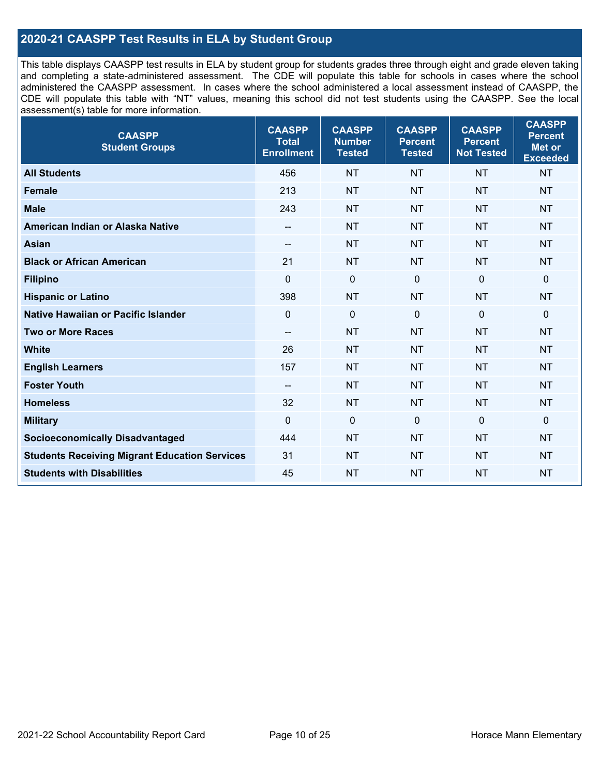## **2020-21 CAASPP Test Results in ELA by Student Group**

This table displays CAASPP test results in ELA by student group for students grades three through eight and grade eleven taking and completing a state-administered assessment. The CDE will populate this table for schools in cases where the school administered the CAASPP assessment. In cases where the school administered a local assessment instead of CAASPP, the CDE will populate this table with "NT" values, meaning this school did not test students using the CAASPP. See the local assessment(s) table for more information.

| <b>CAASPP</b><br><b>Student Groups</b>               | <b>CAASPP</b><br><b>Total</b><br><b>Enrollment</b> | <b>CAASPP</b><br><b>Number</b><br><b>Tested</b> | <b>CAASPP</b><br><b>Percent</b><br><b>Tested</b> | <b>CAASPP</b><br><b>Percent</b><br><b>Not Tested</b> | <b>CAASPP</b><br><b>Percent</b><br>Met or<br><b>Exceeded</b> |
|------------------------------------------------------|----------------------------------------------------|-------------------------------------------------|--------------------------------------------------|------------------------------------------------------|--------------------------------------------------------------|
| <b>All Students</b>                                  | 456                                                | <b>NT</b>                                       | <b>NT</b>                                        | <b>NT</b>                                            | <b>NT</b>                                                    |
| <b>Female</b>                                        | 213                                                | <b>NT</b>                                       | <b>NT</b>                                        | <b>NT</b>                                            | <b>NT</b>                                                    |
| <b>Male</b>                                          | 243                                                | <b>NT</b>                                       | <b>NT</b>                                        | <b>NT</b>                                            | <b>NT</b>                                                    |
| American Indian or Alaska Native                     | $\overline{\phantom{a}}$                           | <b>NT</b>                                       | <b>NT</b>                                        | <b>NT</b>                                            | <b>NT</b>                                                    |
| <b>Asian</b>                                         | --                                                 | <b>NT</b>                                       | <b>NT</b>                                        | <b>NT</b>                                            | <b>NT</b>                                                    |
| <b>Black or African American</b>                     | 21                                                 | <b>NT</b>                                       | <b>NT</b>                                        | <b>NT</b>                                            | <b>NT</b>                                                    |
| <b>Filipino</b>                                      | $\mathbf 0$                                        | $\mathbf 0$                                     | $\mathbf 0$                                      | $\mathbf 0$                                          | 0                                                            |
| <b>Hispanic or Latino</b>                            | 398                                                | <b>NT</b>                                       | <b>NT</b>                                        | <b>NT</b>                                            | <b>NT</b>                                                    |
| Native Hawaiian or Pacific Islander                  | $\mathbf 0$                                        | $\mathbf 0$                                     | $\mathbf{0}$                                     | $\overline{0}$                                       | 0                                                            |
| <b>Two or More Races</b>                             | $\overline{\phantom{a}}$                           | <b>NT</b>                                       | <b>NT</b>                                        | <b>NT</b>                                            | <b>NT</b>                                                    |
| <b>White</b>                                         | 26                                                 | <b>NT</b>                                       | <b>NT</b>                                        | <b>NT</b>                                            | <b>NT</b>                                                    |
| <b>English Learners</b>                              | 157                                                | <b>NT</b>                                       | <b>NT</b>                                        | <b>NT</b>                                            | <b>NT</b>                                                    |
| <b>Foster Youth</b>                                  | $\overline{\phantom{a}}$                           | <b>NT</b>                                       | <b>NT</b>                                        | <b>NT</b>                                            | <b>NT</b>                                                    |
| <b>Homeless</b>                                      | 32                                                 | <b>NT</b>                                       | <b>NT</b>                                        | <b>NT</b>                                            | <b>NT</b>                                                    |
| <b>Military</b>                                      | $\mathbf 0$                                        | $\mathbf 0$                                     | $\mathbf 0$                                      | $\mathbf 0$                                          | 0                                                            |
| <b>Socioeconomically Disadvantaged</b>               | 444                                                | <b>NT</b>                                       | <b>NT</b>                                        | <b>NT</b>                                            | <b>NT</b>                                                    |
| <b>Students Receiving Migrant Education Services</b> | 31                                                 | <b>NT</b>                                       | <b>NT</b>                                        | <b>NT</b>                                            | <b>NT</b>                                                    |
| <b>Students with Disabilities</b>                    | 45                                                 | <b>NT</b>                                       | <b>NT</b>                                        | <b>NT</b>                                            | <b>NT</b>                                                    |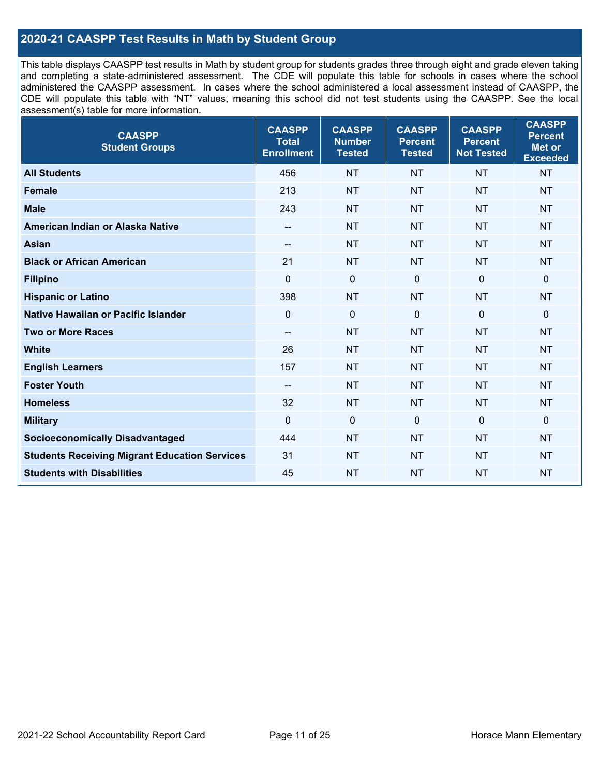## **2020-21 CAASPP Test Results in Math by Student Group**

This table displays CAASPP test results in Math by student group for students grades three through eight and grade eleven taking and completing a state-administered assessment. The CDE will populate this table for schools in cases where the school administered the CAASPP assessment. In cases where the school administered a local assessment instead of CAASPP, the CDE will populate this table with "NT" values, meaning this school did not test students using the CAASPP. See the local assessment(s) table for more information.

| <b>CAASPP</b><br><b>Student Groups</b>               | <b>CAASPP</b><br><b>Total</b><br><b>Enrollment</b> | <b>CAASPP</b><br><b>Number</b><br><b>Tested</b> | <b>CAASPP</b><br><b>Percent</b><br><b>Tested</b> | <b>CAASPP</b><br><b>Percent</b><br><b>Not Tested</b> | <b>CAASPP</b><br><b>Percent</b><br>Met or<br><b>Exceeded</b> |
|------------------------------------------------------|----------------------------------------------------|-------------------------------------------------|--------------------------------------------------|------------------------------------------------------|--------------------------------------------------------------|
| <b>All Students</b>                                  | 456                                                | <b>NT</b>                                       | <b>NT</b>                                        | <b>NT</b>                                            | <b>NT</b>                                                    |
| <b>Female</b>                                        | 213                                                | <b>NT</b>                                       | <b>NT</b>                                        | <b>NT</b>                                            | <b>NT</b>                                                    |
| <b>Male</b>                                          | 243                                                | <b>NT</b>                                       | <b>NT</b>                                        | <b>NT</b>                                            | <b>NT</b>                                                    |
| American Indian or Alaska Native                     | $\overline{\phantom{a}}$                           | <b>NT</b>                                       | <b>NT</b>                                        | <b>NT</b>                                            | <b>NT</b>                                                    |
| <b>Asian</b>                                         | --                                                 | <b>NT</b>                                       | <b>NT</b>                                        | <b>NT</b>                                            | <b>NT</b>                                                    |
| <b>Black or African American</b>                     | 21                                                 | <b>NT</b>                                       | <b>NT</b>                                        | <b>NT</b>                                            | <b>NT</b>                                                    |
| <b>Filipino</b>                                      | $\mathbf 0$                                        | $\mathbf 0$                                     | $\mathbf 0$                                      | $\mathbf 0$                                          | 0                                                            |
| <b>Hispanic or Latino</b>                            | 398                                                | <b>NT</b>                                       | <b>NT</b>                                        | <b>NT</b>                                            | <b>NT</b>                                                    |
| Native Hawaiian or Pacific Islander                  | $\mathbf 0$                                        | $\mathbf 0$                                     | $\mathbf{0}$                                     | $\overline{0}$                                       | 0                                                            |
| <b>Two or More Races</b>                             | $\overline{\phantom{a}}$                           | <b>NT</b>                                       | <b>NT</b>                                        | <b>NT</b>                                            | <b>NT</b>                                                    |
| <b>White</b>                                         | 26                                                 | <b>NT</b>                                       | <b>NT</b>                                        | <b>NT</b>                                            | <b>NT</b>                                                    |
| <b>English Learners</b>                              | 157                                                | <b>NT</b>                                       | <b>NT</b>                                        | <b>NT</b>                                            | <b>NT</b>                                                    |
| <b>Foster Youth</b>                                  | $\overline{\phantom{a}}$                           | <b>NT</b>                                       | <b>NT</b>                                        | <b>NT</b>                                            | <b>NT</b>                                                    |
| <b>Homeless</b>                                      | 32                                                 | <b>NT</b>                                       | <b>NT</b>                                        | <b>NT</b>                                            | <b>NT</b>                                                    |
| <b>Military</b>                                      | $\mathbf 0$                                        | $\mathbf 0$                                     | $\mathbf 0$                                      | $\mathbf 0$                                          | 0                                                            |
| <b>Socioeconomically Disadvantaged</b>               | 444                                                | <b>NT</b>                                       | <b>NT</b>                                        | <b>NT</b>                                            | <b>NT</b>                                                    |
| <b>Students Receiving Migrant Education Services</b> | 31                                                 | <b>NT</b>                                       | <b>NT</b>                                        | <b>NT</b>                                            | <b>NT</b>                                                    |
| <b>Students with Disabilities</b>                    | 45                                                 | <b>NT</b>                                       | <b>NT</b>                                        | <b>NT</b>                                            | <b>NT</b>                                                    |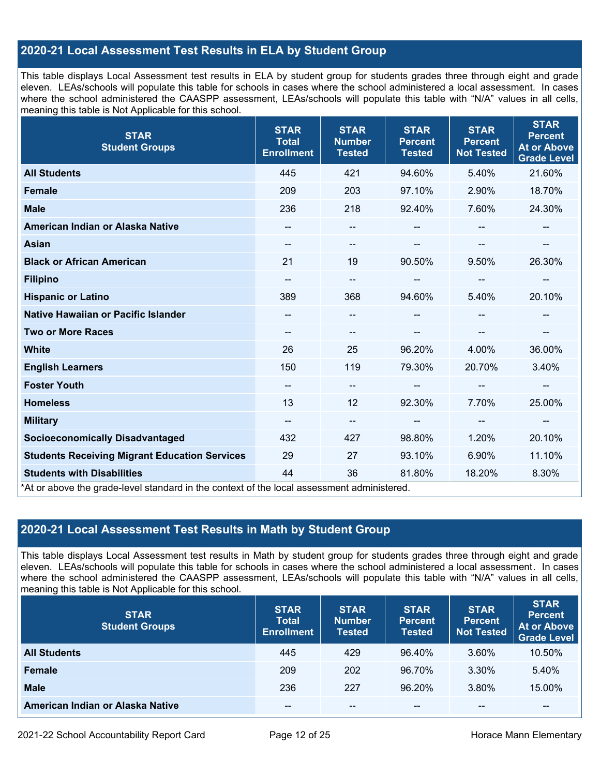## **2020-21 Local Assessment Test Results in ELA by Student Group**

This table displays Local Assessment test results in ELA by student group for students grades three through eight and grade eleven. LEAs/schools will populate this table for schools in cases where the school administered a local assessment. In cases where the school administered the CAASPP assessment, LEAs/schools will populate this table with "N/A" values in all cells, meaning this table is Not Applicable for this school.

| <b>STAR</b><br><b>Student Groups</b>                                                                                            | <b>STAR</b><br><b>Total</b><br><b>Enrollment</b> | <b>STAR</b><br><b>Number</b><br><b>Tested</b> | <b>STAR</b><br><b>Percent</b><br><b>Tested</b> | <b>STAR</b><br><b>Percent</b><br><b>Not Tested</b> | <b>STAR</b><br><b>Percent</b><br><b>At or Above</b><br><b>Grade Level</b> |
|---------------------------------------------------------------------------------------------------------------------------------|--------------------------------------------------|-----------------------------------------------|------------------------------------------------|----------------------------------------------------|---------------------------------------------------------------------------|
| <b>All Students</b>                                                                                                             | 445                                              | 421                                           | 94.60%                                         | 5.40%                                              | 21.60%                                                                    |
| <b>Female</b>                                                                                                                   | 209                                              | 203                                           | 97.10%                                         | 2.90%                                              | 18.70%                                                                    |
| <b>Male</b>                                                                                                                     | 236                                              | 218                                           | 92.40%                                         | 7.60%                                              | 24.30%                                                                    |
| American Indian or Alaska Native                                                                                                | --                                               | --                                            | --                                             |                                                    | --                                                                        |
| <b>Asian</b>                                                                                                                    | --                                               | --                                            | --                                             | --                                                 | --                                                                        |
| <b>Black or African American</b>                                                                                                | 21                                               | 19                                            | 90.50%                                         | 9.50%                                              | 26.30%                                                                    |
| <b>Filipino</b>                                                                                                                 |                                                  | --                                            | --                                             |                                                    | --                                                                        |
| <b>Hispanic or Latino</b>                                                                                                       | 389                                              | 368                                           | 94.60%                                         | 5.40%                                              | 20.10%                                                                    |
| Native Hawaiian or Pacific Islander                                                                                             |                                                  | --                                            |                                                |                                                    |                                                                           |
| <b>Two or More Races</b>                                                                                                        |                                                  | --                                            |                                                |                                                    |                                                                           |
| <b>White</b>                                                                                                                    | 26                                               | 25                                            | 96.20%                                         | 4.00%                                              | 36.00%                                                                    |
| <b>English Learners</b>                                                                                                         | 150                                              | 119                                           | 79.30%                                         | 20.70%                                             | 3.40%                                                                     |
| <b>Foster Youth</b>                                                                                                             | --                                               | $- -$                                         |                                                | $-$                                                | --                                                                        |
| <b>Homeless</b>                                                                                                                 | 13                                               | 12                                            | 92.30%                                         | 7.70%                                              | 25.00%                                                                    |
| <b>Military</b>                                                                                                                 | $\hspace{0.05cm}$ – $\hspace{0.05cm}$            | $\overline{\phantom{a}}$                      | $\hspace{0.05cm}$ – $\hspace{0.05cm}$          | $\overline{\phantom{a}}$                           | $\overline{\phantom{a}}$                                                  |
| <b>Socioeconomically Disadvantaged</b>                                                                                          | 432                                              | 427                                           | 98.80%                                         | 1.20%                                              | 20.10%                                                                    |
| <b>Students Receiving Migrant Education Services</b>                                                                            | 29                                               | 27                                            | 93.10%                                         | 6.90%                                              | 11.10%                                                                    |
| <b>Students with Disabilities</b><br>*At or above the grade-level standard in the context of the local assessment administered. | 44                                               | 36                                            | 81.80%                                         | 18.20%                                             | 8.30%                                                                     |

## **2020-21 Local Assessment Test Results in Math by Student Group**

This table displays Local Assessment test results in Math by student group for students grades three through eight and grade eleven. LEAs/schools will populate this table for schools in cases where the school administered a local assessment. In cases where the school administered the CAASPP assessment, LEAs/schools will populate this table with "N/A" values in all cells, meaning this table is Not Applicable for this school.

| <b>STAR</b><br><b>Student Groups</b> | <b>STAR</b><br><b>Total</b><br><b>Enrollment</b> | <b>STAR</b><br><b>Number</b><br><b>Tested</b> | <b>STAR</b><br><b>Percent</b><br><b>Tested</b> | <b>STAR</b><br><b>Percent</b><br><b>Not Tested</b> | <b>STAR</b><br><b>Percent</b><br><b>At or Above</b><br><b>Grade Level</b> |
|--------------------------------------|--------------------------------------------------|-----------------------------------------------|------------------------------------------------|----------------------------------------------------|---------------------------------------------------------------------------|
| <b>All Students</b>                  | 445                                              | 429                                           | 96.40%                                         | 3.60%                                              | 10.50%                                                                    |
| <b>Female</b>                        | 209                                              | 202                                           | 96.70%                                         | 3.30%                                              | 5.40%                                                                     |
| <b>Male</b>                          | 236                                              | 227                                           | 96.20%                                         | 3.80%                                              | 15.00%                                                                    |
| American Indian or Alaska Native     | --                                               | $\sim$ $\sim$                                 | $- -$                                          | --                                                 | $\overline{\phantom{m}}$                                                  |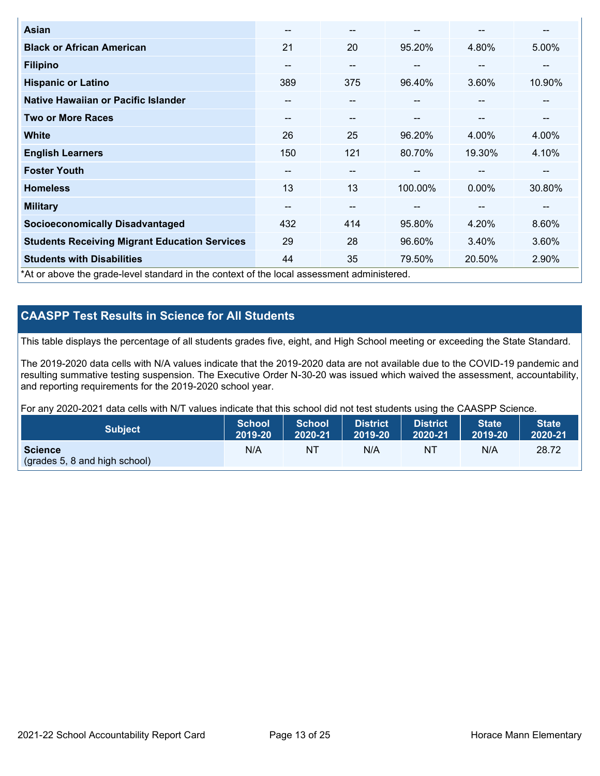| Asian                                                                                      | $-$ | $- -$                    |         | --                       | --     |
|--------------------------------------------------------------------------------------------|-----|--------------------------|---------|--------------------------|--------|
| <b>Black or African American</b>                                                           | 21  | 20                       | 95.20%  | 4.80%                    | 5.00%  |
| <b>Filipino</b>                                                                            | --  | $- -$                    | --      | --                       | --     |
| <b>Hispanic or Latino</b>                                                                  | 389 | 375                      | 96.40%  | 3.60%                    | 10.90% |
| Native Hawaiian or Pacific Islander                                                        | --  | $\qquad \qquad \cdots$   | --      | $\overline{\phantom{m}}$ | --     |
| <b>Two or More Races</b>                                                                   | --  | $- -$                    | --      | --                       | --     |
| <b>White</b>                                                                               | 26  | 25                       | 96.20%  | 4.00%                    | 4.00%  |
| <b>English Learners</b>                                                                    | 150 | 121                      | 80.70%  | 19.30%                   | 4.10%  |
| <b>Foster Youth</b>                                                                        | --  | $- -$                    |         | --                       | --     |
| <b>Homeless</b>                                                                            | 13  | 13                       | 100.00% | $0.00\%$                 | 30.80% |
| <b>Military</b>                                                                            | --  | $\overline{\phantom{m}}$ | --      | --                       | --     |
| <b>Socioeconomically Disadvantaged</b>                                                     | 432 | 414                      | 95.80%  | 4.20%                    | 8.60%  |
| <b>Students Receiving Migrant Education Services</b>                                       | 29  | 28                       | 96.60%  | 3.40%                    | 3.60%  |
| <b>Students with Disabilities</b>                                                          | 44  | 35                       | 79.50%  | 20.50%                   | 2.90%  |
| *At or above the grade-level standard in the context of the local assessment administered. |     |                          |         |                          |        |

## **CAASPP Test Results in Science for All Students**

This table displays the percentage of all students grades five, eight, and High School meeting or exceeding the State Standard.

The 2019-2020 data cells with N/A values indicate that the 2019-2020 data are not available due to the COVID-19 pandemic and resulting summative testing suspension. The Executive Order N-30-20 was issued which waived the assessment, accountability, and reporting requirements for the 2019-2020 school year.

For any 2020-2021 data cells with N/T values indicate that this school did not test students using the CAASPP Science.

| <b>Subject</b>                                           | <b>School</b> | <b>School</b> | <b>District</b> | District | <b>State</b> | <b>State</b> |
|----------------------------------------------------------|---------------|---------------|-----------------|----------|--------------|--------------|
|                                                          | 2019-20       | 2020-21       | 2019-20         | 2020-21  | 2019-20      | 2020-21      |
| <b>Science</b><br>$\left($ (grades 5, 8 and high school) | N/A           | NT            | N/A             | NT       | N/A          | 28.72        |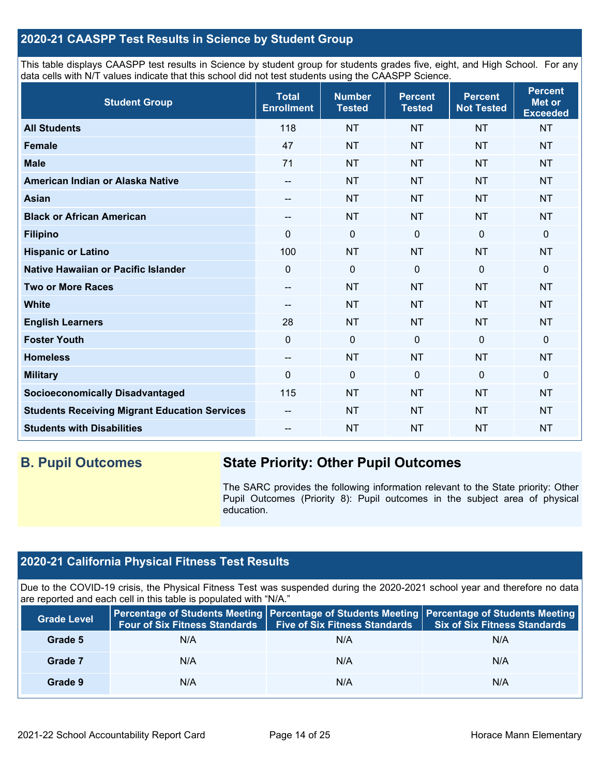## **2020-21 CAASPP Test Results in Science by Student Group**

This table displays CAASPP test results in Science by student group for students grades five, eight, and High School. For any data cells with N/T values indicate that this school did not test students using the CAASPP Science.

| <b>Student Group</b>                                 | <b>Total</b><br><b>Enrollment</b> | <b>Number</b><br><b>Tested</b> | <b>Percent</b><br><b>Tested</b> | <b>Percent</b><br><b>Not Tested</b> | <b>Percent</b><br><b>Met or</b><br><b>Exceeded</b> |
|------------------------------------------------------|-----------------------------------|--------------------------------|---------------------------------|-------------------------------------|----------------------------------------------------|
| <b>All Students</b>                                  | 118                               | <b>NT</b>                      | <b>NT</b>                       | <b>NT</b>                           | <b>NT</b>                                          |
| <b>Female</b>                                        | 47                                | <b>NT</b>                      | <b>NT</b>                       | <b>NT</b>                           | <b>NT</b>                                          |
| <b>Male</b>                                          | 71                                | <b>NT</b>                      | <b>NT</b>                       | <b>NT</b>                           | <b>NT</b>                                          |
| American Indian or Alaska Native                     | --                                | <b>NT</b>                      | <b>NT</b>                       | <b>NT</b>                           | <b>NT</b>                                          |
| <b>Asian</b>                                         | --                                | <b>NT</b>                      | <b>NT</b>                       | <b>NT</b>                           | <b>NT</b>                                          |
| <b>Black or African American</b>                     | --                                | <b>NT</b>                      | <b>NT</b>                       | <b>NT</b>                           | <b>NT</b>                                          |
| <b>Filipino</b>                                      | $\Omega$                          | $\pmb{0}$                      | $\mathbf 0$                     | 0                                   | 0                                                  |
| <b>Hispanic or Latino</b>                            | 100                               | <b>NT</b>                      | <b>NT</b>                       | <b>NT</b>                           | <b>NT</b>                                          |
| Native Hawaiian or Pacific Islander                  | $\mathbf 0$                       | $\mathbf 0$                    | $\mathbf{0}$                    | $\overline{0}$                      | 0                                                  |
| <b>Two or More Races</b>                             | $-$                               | <b>NT</b>                      | <b>NT</b>                       | <b>NT</b>                           | <b>NT</b>                                          |
| <b>White</b>                                         | $\qquad \qquad -$                 | <b>NT</b>                      | <b>NT</b>                       | <b>NT</b>                           | <b>NT</b>                                          |
| <b>English Learners</b>                              | 28                                | <b>NT</b>                      | <b>NT</b>                       | <b>NT</b>                           | <b>NT</b>                                          |
| <b>Foster Youth</b>                                  | $\mathbf 0$                       | $\mathbf 0$                    | $\mathbf 0$                     | $\mathbf 0$                         | 0                                                  |
| <b>Homeless</b>                                      | $\overline{\phantom{a}}$          | <b>NT</b>                      | <b>NT</b>                       | <b>NT</b>                           | <b>NT</b>                                          |
| <b>Military</b>                                      | $\Omega$                          | $\mathbf 0$                    | $\mathbf 0$                     | $\mathbf 0$                         | 0                                                  |
| <b>Socioeconomically Disadvantaged</b>               | 115                               | <b>NT</b>                      | <b>NT</b>                       | <b>NT</b>                           | <b>NT</b>                                          |
| <b>Students Receiving Migrant Education Services</b> | $\qquad \qquad -$                 | <b>NT</b>                      | <b>NT</b>                       | <b>NT</b>                           | <b>NT</b>                                          |
| <b>Students with Disabilities</b>                    | --                                | <b>NT</b>                      | <b>NT</b>                       | <b>NT</b>                           | <b>NT</b>                                          |

## **B. Pupil Outcomes State Priority: Other Pupil Outcomes**

The SARC provides the following information relevant to the State priority: Other Pupil Outcomes (Priority 8): Pupil outcomes in the subject area of physical education.

## **2020-21 California Physical Fitness Test Results**

Due to the COVID-19 crisis, the Physical Fitness Test was suspended during the 2020-2021 school year and therefore no data are reported and each cell in this table is populated with "N/A."

| <b>Grade Level</b> | <b>Four of Six Fitness Standards</b> | <b>Five of Six Fitness Standards</b> | Percentage of Students Meeting   Percentage of Students Meeting   Percentage of Students Meeting<br><b>Six of Six Fitness Standards</b> |
|--------------------|--------------------------------------|--------------------------------------|-----------------------------------------------------------------------------------------------------------------------------------------|
| Grade 5            | N/A                                  | N/A                                  | N/A                                                                                                                                     |
| Grade 7            | N/A                                  | N/A                                  | N/A                                                                                                                                     |
| Grade 9            | N/A                                  | N/A                                  | N/A                                                                                                                                     |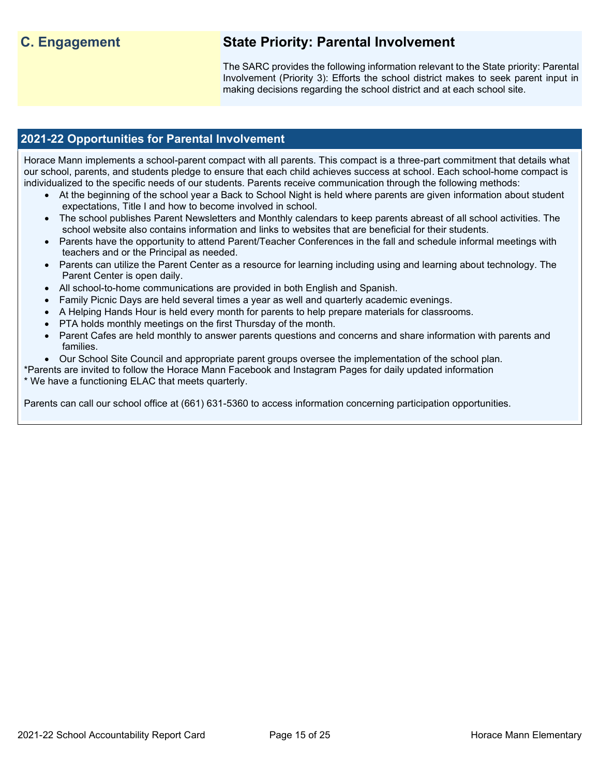## **C. Engagement State Priority: Parental Involvement**

The SARC provides the following information relevant to the State priority: Parental Involvement (Priority 3): Efforts the school district makes to seek parent input in making decisions regarding the school district and at each school site.

## **2021-22 Opportunities for Parental Involvement**

Horace Mann implements a school-parent compact with all parents. This compact is a three-part commitment that details what our school, parents, and students pledge to ensure that each child achieves success at school. Each school-home compact is individualized to the specific needs of our students. Parents receive communication through the following methods:

- At the beginning of the school year a Back to School Night is held where parents are given information about student expectations, Title I and how to become involved in school.
- The school publishes Parent Newsletters and Monthly calendars to keep parents abreast of all school activities. The school website also contains information and links to websites that are beneficial for their students.
- Parents have the opportunity to attend Parent/Teacher Conferences in the fall and schedule informal meetings with teachers and or the Principal as needed.
- Parents can utilize the Parent Center as a resource for learning including using and learning about technology. The Parent Center is open daily.
- All school-to-home communications are provided in both English and Spanish.
- Family Picnic Days are held several times a year as well and quarterly academic evenings.
- A Helping Hands Hour is held every month for parents to help prepare materials for classrooms.
- PTA holds monthly meetings on the first Thursday of the month.
- Parent Cafes are held monthly to answer parents questions and concerns and share information with parents and families.

• Our School Site Council and appropriate parent groups oversee the implementation of the school plan.

\*Parents are invited to follow the Horace Mann Facebook and Instagram Pages for daily updated information \* We have a functioning ELAC that meets quarterly.

Parents can call our school office at (661) 631-5360 to access information concerning participation opportunities.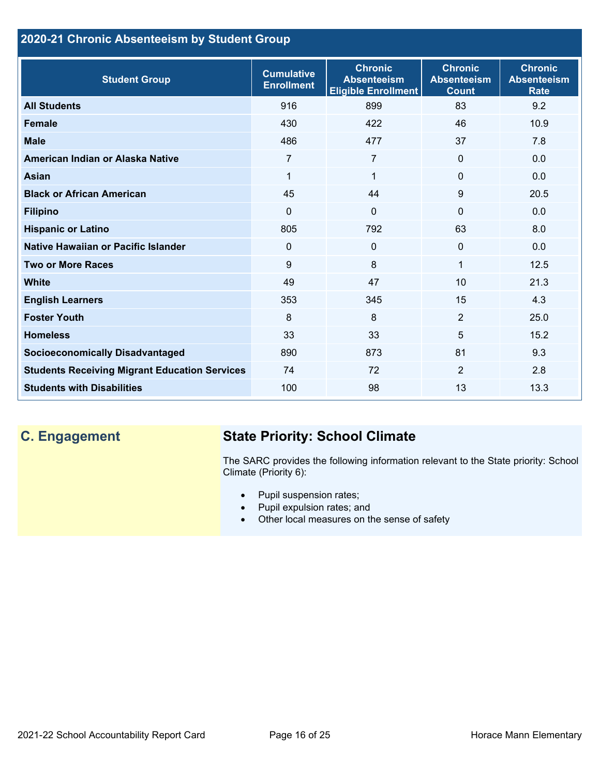## **2020-21 Chronic Absenteeism by Student Group**

| <b>Student Group</b>                                 | <b>Cumulative</b><br><b>Enrollment</b> | <b>Chronic</b><br><b>Absenteeism</b><br><b>Eligible Enrollment</b> | <b>Chronic</b><br><b>Absenteeism</b><br><b>Count</b> | <b>Chronic</b><br><b>Absenteeism</b><br><b>Rate</b> |
|------------------------------------------------------|----------------------------------------|--------------------------------------------------------------------|------------------------------------------------------|-----------------------------------------------------|
| <b>All Students</b>                                  | 916                                    | 899                                                                | 83                                                   | 9.2                                                 |
| <b>Female</b>                                        | 430                                    | 422                                                                | 46                                                   | 10.9                                                |
| <b>Male</b>                                          | 486                                    | 477                                                                | 37                                                   | 7.8                                                 |
| American Indian or Alaska Native                     | $\overline{7}$                         | $\overline{7}$                                                     | $\mathbf{0}$                                         | 0.0                                                 |
| <b>Asian</b>                                         | 1                                      | $\mathbf 1$                                                        | $\mathbf 0$                                          | 0.0                                                 |
| <b>Black or African American</b>                     | 45                                     | 44                                                                 | 9                                                    | 20.5                                                |
| <b>Filipino</b>                                      | 0                                      | $\mathbf{0}$                                                       | $\mathbf{0}$                                         | 0.0                                                 |
| <b>Hispanic or Latino</b>                            | 805                                    | 792                                                                | 63                                                   | 8.0                                                 |
| Native Hawaiian or Pacific Islander                  | 0                                      | $\mathbf 0$                                                        | $\mathbf 0$                                          | 0.0                                                 |
| <b>Two or More Races</b>                             | 9                                      | 8                                                                  | 1                                                    | 12.5                                                |
| <b>White</b>                                         | 49                                     | 47                                                                 | 10                                                   | 21.3                                                |
| <b>English Learners</b>                              | 353                                    | 345                                                                | 15                                                   | 4.3                                                 |
| <b>Foster Youth</b>                                  | 8                                      | 8                                                                  | 2                                                    | 25.0                                                |
| <b>Homeless</b>                                      | 33                                     | 33                                                                 | 5                                                    | 15.2                                                |
| <b>Socioeconomically Disadvantaged</b>               | 890                                    | 873                                                                | 81                                                   | 9.3                                                 |
| <b>Students Receiving Migrant Education Services</b> | 74                                     | 72                                                                 | 2                                                    | 2.8                                                 |
| <b>Students with Disabilities</b>                    | 100                                    | 98                                                                 | 13                                                   | 13.3                                                |

# **C. Engagement State Priority: School Climate**

The SARC provides the following information relevant to the State priority: School Climate (Priority 6):

- Pupil suspension rates;
- Pupil expulsion rates; and
- Other local measures on the sense of safety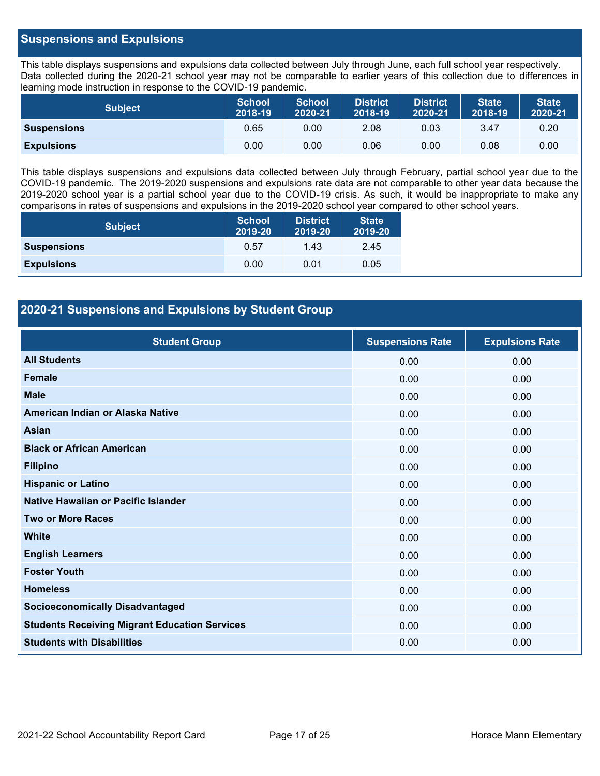## **Suspensions and Expulsions**

This table displays suspensions and expulsions data collected between July through June, each full school year respectively. Data collected during the 2020-21 school year may not be comparable to earlier years of this collection due to differences in learning mode instruction in response to the COVID-19 pandemic.

| <b>Subject</b>     | <b>School</b><br>2018-19 | <b>School</b><br>2020-21 | <b>District</b><br>2018-19 | <b>District</b><br>2020-21 | <b>State</b><br>2018-19 | <b>State</b><br>2020-21 |
|--------------------|--------------------------|--------------------------|----------------------------|----------------------------|-------------------------|-------------------------|
| <b>Suspensions</b> | 0.65                     | $0.00^{\circ}$           | 2.08                       | 0.03                       | 3.47                    | 0.20                    |
| <b>Expulsions</b>  | 0.00                     | 0.00                     | 0.06                       | 0.00                       | 0.08                    | 0.00                    |

This table displays suspensions and expulsions data collected between July through February, partial school year due to the COVID-19 pandemic. The 2019-2020 suspensions and expulsions rate data are not comparable to other year data because the 2019-2020 school year is a partial school year due to the COVID-19 crisis. As such, it would be inappropriate to make any comparisons in rates of suspensions and expulsions in the 2019-2020 school year compared to other school years.

| <b>Subject</b>     | <b>School</b><br>2019-20 | <b>District</b><br>2019-20 | <b>State</b><br>2019-20 |  |
|--------------------|--------------------------|----------------------------|-------------------------|--|
| <b>Suspensions</b> | 0.57                     | 1.43                       | 2.45                    |  |
| <b>Expulsions</b>  | 0.00                     | 0.01                       | 0.05                    |  |

## **2020-21 Suspensions and Expulsions by Student Group**

| <b>Student Group</b>                                 | <b>Suspensions Rate</b> | <b>Expulsions Rate</b> |
|------------------------------------------------------|-------------------------|------------------------|
| <b>All Students</b>                                  | 0.00                    | 0.00                   |
| <b>Female</b>                                        | 0.00                    | 0.00                   |
| <b>Male</b>                                          | 0.00                    | 0.00                   |
| American Indian or Alaska Native                     | 0.00                    | 0.00                   |
| <b>Asian</b>                                         | 0.00                    | 0.00                   |
| <b>Black or African American</b>                     | 0.00                    | 0.00                   |
| <b>Filipino</b>                                      | 0.00                    | 0.00                   |
| <b>Hispanic or Latino</b>                            | 0.00                    | 0.00                   |
| Native Hawaiian or Pacific Islander                  | 0.00                    | 0.00                   |
| <b>Two or More Races</b>                             | 0.00                    | 0.00                   |
| <b>White</b>                                         | 0.00                    | 0.00                   |
| <b>English Learners</b>                              | 0.00                    | 0.00                   |
| <b>Foster Youth</b>                                  | 0.00                    | 0.00                   |
| <b>Homeless</b>                                      | 0.00                    | 0.00                   |
| <b>Socioeconomically Disadvantaged</b>               | 0.00                    | 0.00                   |
| <b>Students Receiving Migrant Education Services</b> | 0.00                    | 0.00                   |
| <b>Students with Disabilities</b>                    | 0.00                    | 0.00                   |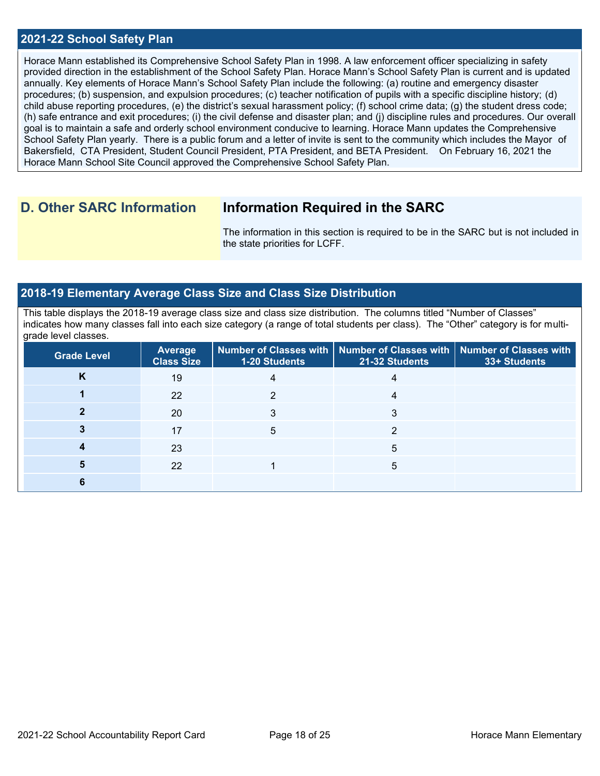#### **2021-22 School Safety Plan**

Horace Mann established its Comprehensive School Safety Plan in 1998. A law enforcement officer specializing in safety provided direction in the establishment of the School Safety Plan. Horace Mann's School Safety Plan is current and is updated annually. Key elements of Horace Mann's School Safety Plan include the following: (a) routine and emergency disaster procedures; (b) suspension, and expulsion procedures; (c) teacher notification of pupils with a specific discipline history; (d) child abuse reporting procedures, (e) the district's sexual harassment policy; (f) school crime data; (g) the student dress code; (h) safe entrance and exit procedures; (i) the civil defense and disaster plan; and (j) discipline rules and procedures. Our overall goal is to maintain a safe and orderly school environment conducive to learning. Horace Mann updates the Comprehensive School Safety Plan yearly. There is a public forum and a letter of invite is sent to the community which includes the Mayor of Bakersfield, CTA President, Student Council President, PTA President, and BETA President. On February 16, 2021 the Horace Mann School Site Council approved the Comprehensive School Safety Plan.

## **D. Other SARC Information Information Required in the SARC**

The information in this section is required to be in the SARC but is not included in the state priorities for LCFF.

#### **2018-19 Elementary Average Class Size and Class Size Distribution**

This table displays the 2018-19 average class size and class size distribution. The columns titled "Number of Classes" indicates how many classes fall into each size category (a range of total students per class). The "Other" category is for multigrade level classes.

| <b>Grade Level</b> | <b>Average</b><br><b>Class Size</b> | 1-20 Students | Number of Classes with   Number of Classes with   Number of Classes with<br>21-32 Students | 33+ Students |
|--------------------|-------------------------------------|---------------|--------------------------------------------------------------------------------------------|--------------|
| K                  | 19                                  |               |                                                                                            |              |
|                    | 22                                  |               |                                                                                            |              |
|                    | 20                                  |               |                                                                                            |              |
|                    | 17                                  | 5             | ◠                                                                                          |              |
|                    | 23                                  |               | 5                                                                                          |              |
|                    | 22                                  |               | 5                                                                                          |              |
|                    |                                     |               |                                                                                            |              |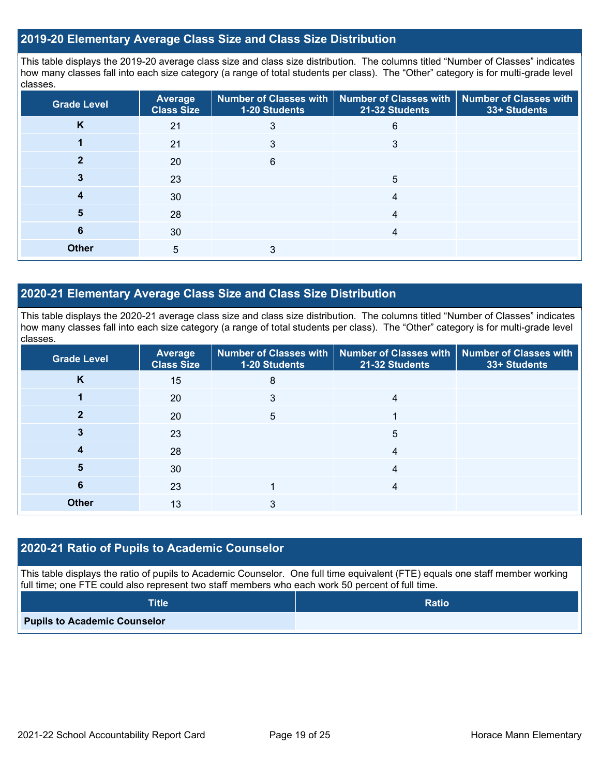### **2019-20 Elementary Average Class Size and Class Size Distribution**

This table displays the 2019-20 average class size and class size distribution. The columns titled "Number of Classes" indicates how many classes fall into each size category (a range of total students per class). The "Other" category is for multi-grade level classes.

| <b>Grade Level</b> | <b>Average</b><br><b>Class Size</b> | <b>Number of Classes with</b><br>1-20 Students | <b>Number of Classes with</b><br>21-32 Students | <b>Number of Classes with</b><br>33+ Students |
|--------------------|-------------------------------------|------------------------------------------------|-------------------------------------------------|-----------------------------------------------|
| K                  | 21                                  | 3                                              | 6                                               |                                               |
|                    | 21                                  |                                                | 3                                               |                                               |
|                    | 20                                  | 6                                              |                                                 |                                               |
|                    | 23                                  |                                                | 5                                               |                                               |
| 4                  | 30                                  |                                                | 4                                               |                                               |
| 5                  | 28                                  |                                                | 4                                               |                                               |
| 6                  | 30                                  |                                                | 4                                               |                                               |
| <b>Other</b>       | $5\phantom{.0}$                     | 3                                              |                                                 |                                               |

## **2020-21 Elementary Average Class Size and Class Size Distribution**

This table displays the 2020-21 average class size and class size distribution. The columns titled "Number of Classes" indicates how many classes fall into each size category (a range of total students per class). The "Other" category is for multi-grade level classes.

| <b>Grade Level</b> | <b>Average</b><br><b>Class Size</b> | <b>1-20 Students</b> | Number of Classes with   Number of Classes with<br>21-32 Students | Number of Classes with<br>33+ Students |
|--------------------|-------------------------------------|----------------------|-------------------------------------------------------------------|----------------------------------------|
| K                  | 15                                  | 8                    |                                                                   |                                        |
|                    | 20                                  | 3                    | 4                                                                 |                                        |
|                    | 20                                  | 5                    |                                                                   |                                        |
|                    | 23                                  |                      | 5                                                                 |                                        |
| 4                  | 28                                  |                      | 4                                                                 |                                        |
| 5                  | 30                                  |                      | 4                                                                 |                                        |
| 6                  | 23                                  |                      | 4                                                                 |                                        |
| <b>Other</b>       | 13                                  | 3                    |                                                                   |                                        |

#### **2020-21 Ratio of Pupils to Academic Counselor**

This table displays the ratio of pupils to Academic Counselor. One full time equivalent (FTE) equals one staff member working full time; one FTE could also represent two staff members who each work 50 percent of full time.

| <b>Title</b>                        | <b>Ratio</b> |
|-------------------------------------|--------------|
| <b>Pupils to Academic Counselor</b> |              |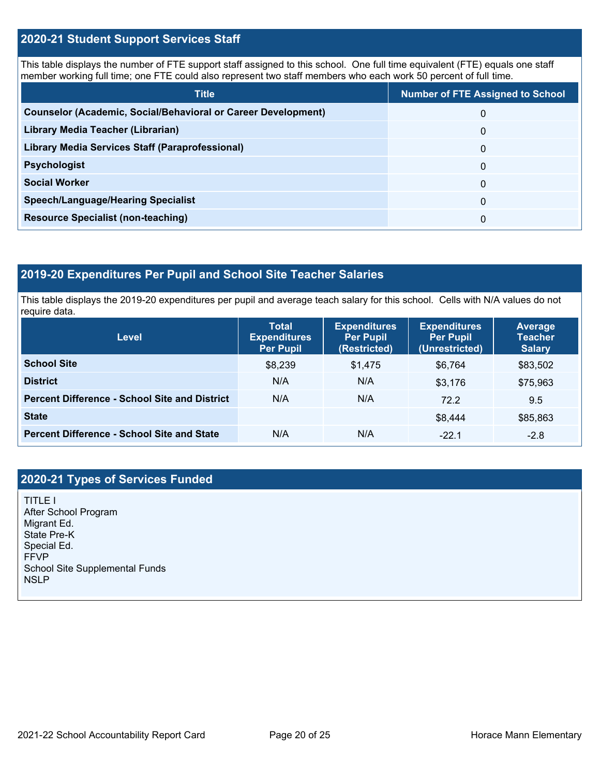## **2020-21 Student Support Services Staff**

This table displays the number of FTE support staff assigned to this school. One full time equivalent (FTE) equals one staff member working full time; one FTE could also represent two staff members who each work 50 percent of full time.

| <b>Title</b>                                                         | <b>Number of FTE Assigned to School</b> |
|----------------------------------------------------------------------|-----------------------------------------|
| <b>Counselor (Academic, Social/Behavioral or Career Development)</b> | 0                                       |
| Library Media Teacher (Librarian)                                    | $\Omega$                                |
| Library Media Services Staff (Paraprofessional)                      | 0                                       |
| <b>Psychologist</b>                                                  | 0                                       |
| <b>Social Worker</b>                                                 | $\Omega$                                |
| <b>Speech/Language/Hearing Specialist</b>                            | 0                                       |
| <b>Resource Specialist (non-teaching)</b>                            | 0                                       |

## **2019-20 Expenditures Per Pupil and School Site Teacher Salaries**

This table displays the 2019-20 expenditures per pupil and average teach salary for this school. Cells with N/A values do not require data.

| Level                                                | <b>Total</b><br><b>Expenditures</b><br><b>Per Pupil</b> | <b>Expenditures</b><br><b>Per Pupil</b><br>(Restricted) | <b>Expenditures</b><br><b>Per Pupil</b><br>(Unrestricted) | <b>Average</b><br><b>Teacher</b><br><b>Salary</b> |
|------------------------------------------------------|---------------------------------------------------------|---------------------------------------------------------|-----------------------------------------------------------|---------------------------------------------------|
| <b>School Site</b>                                   | \$8,239                                                 | \$1,475                                                 | \$6.764                                                   | \$83,502                                          |
| <b>District</b>                                      | N/A                                                     | N/A                                                     | \$3,176                                                   | \$75,963                                          |
| <b>Percent Difference - School Site and District</b> | N/A                                                     | N/A                                                     | 72.2                                                      | 9.5                                               |
| <b>State</b>                                         |                                                         |                                                         | \$8,444                                                   | \$85,863                                          |
| <b>Percent Difference - School Site and State</b>    | N/A                                                     | N/A                                                     | $-22.1$                                                   | $-2.8$                                            |

## **2020-21 Types of Services Funded**

TITLE I After School Program Migrant Ed. State Pre-K Special Ed. FFVP School Site Supplemental Funds **NSLP**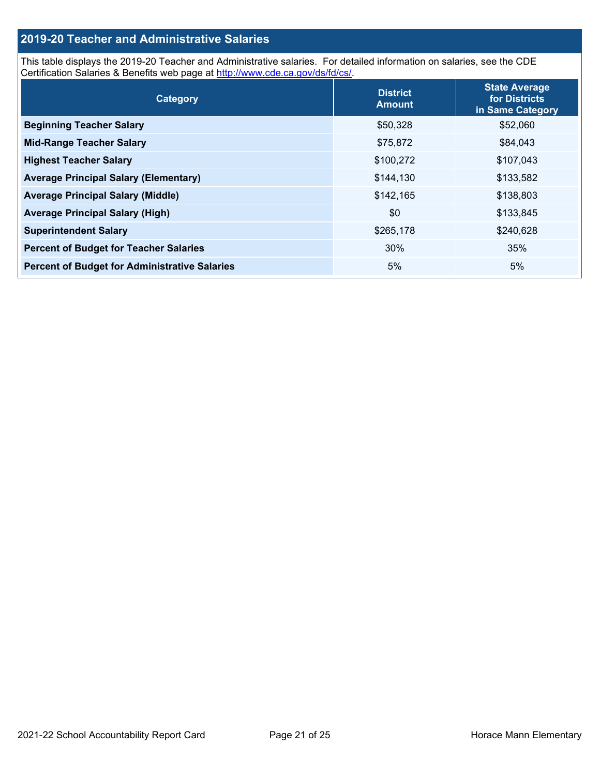## **2019-20 Teacher and Administrative Salaries**

This table displays the 2019-20 Teacher and Administrative salaries. For detailed information on salaries, see the CDE Certification Salaries & Benefits web page at [http://www.cde.ca.gov/ds/fd/cs/.](http://www.cde.ca.gov/ds/fd/cs/)

| Category                                             | <b>District</b><br><b>Amount</b> | <b>State Average</b><br>for Districts<br>in Same Category |
|------------------------------------------------------|----------------------------------|-----------------------------------------------------------|
| <b>Beginning Teacher Salary</b>                      | \$50,328                         | \$52,060                                                  |
| <b>Mid-Range Teacher Salary</b>                      | \$75,872                         | \$84,043                                                  |
| <b>Highest Teacher Salary</b>                        | \$100,272                        | \$107,043                                                 |
| <b>Average Principal Salary (Elementary)</b>         | \$144,130                        | \$133,582                                                 |
| <b>Average Principal Salary (Middle)</b>             | \$142,165                        | \$138,803                                                 |
| <b>Average Principal Salary (High)</b>               | \$0                              | \$133,845                                                 |
| <b>Superintendent Salary</b>                         | \$265,178                        | \$240,628                                                 |
| <b>Percent of Budget for Teacher Salaries</b>        | 30%                              | 35%                                                       |
| <b>Percent of Budget for Administrative Salaries</b> | 5%                               | 5%                                                        |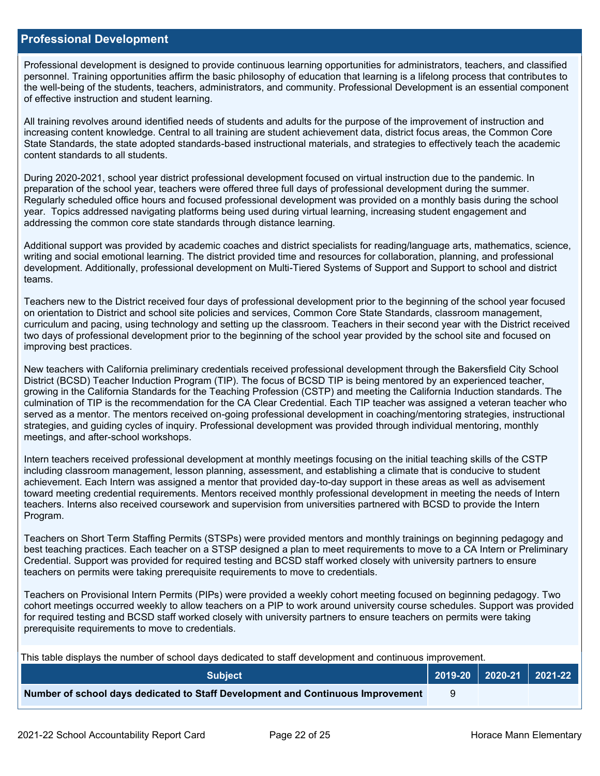#### **Professional Development**

Professional development is designed to provide continuous learning opportunities for administrators, teachers, and classified personnel. Training opportunities affirm the basic philosophy of education that learning is a lifelong process that contributes to the well-being of the students, teachers, administrators, and community. Professional Development is an essential component of effective instruction and student learning.

All training revolves around identified needs of students and adults for the purpose of the improvement of instruction and increasing content knowledge. Central to all training are student achievement data, district focus areas, the Common Core State Standards, the state adopted standards-based instructional materials, and strategies to effectively teach the academic content standards to all students.

During 2020-2021, school year district professional development focused on virtual instruction due to the pandemic. In preparation of the school year, teachers were offered three full days of professional development during the summer. Regularly scheduled office hours and focused professional development was provided on a monthly basis during the school year. Topics addressed navigating platforms being used during virtual learning, increasing student engagement and addressing the common core state standards through distance learning.

Additional support was provided by academic coaches and district specialists for reading/language arts, mathematics, science, writing and social emotional learning. The district provided time and resources for collaboration, planning, and professional development. Additionally, professional development on Multi-Tiered Systems of Support and Support to school and district teams.

Teachers new to the District received four days of professional development prior to the beginning of the school year focused on orientation to District and school site policies and services, Common Core State Standards, classroom management, curriculum and pacing, using technology and setting up the classroom. Teachers in their second year with the District received two days of professional development prior to the beginning of the school year provided by the school site and focused on improving best practices.

New teachers with California preliminary credentials received professional development through the Bakersfield City School District (BCSD) Teacher Induction Program (TIP). The focus of BCSD TIP is being mentored by an experienced teacher, growing in the California Standards for the Teaching Profession (CSTP) and meeting the California Induction standards. The culmination of TIP is the recommendation for the CA Clear Credential. Each TIP teacher was assigned a veteran teacher who served as a mentor. The mentors received on-going professional development in coaching/mentoring strategies, instructional strategies, and guiding cycles of inquiry. Professional development was provided through individual mentoring, monthly meetings, and after-school workshops.

Intern teachers received professional development at monthly meetings focusing on the initial teaching skills of the CSTP including classroom management, lesson planning, assessment, and establishing a climate that is conducive to student achievement. Each Intern was assigned a mentor that provided day-to-day support in these areas as well as advisement toward meeting credential requirements. Mentors received monthly professional development in meeting the needs of Intern teachers. Interns also received coursework and supervision from universities partnered with BCSD to provide the Intern Program.

Teachers on Short Term Staffing Permits (STSPs) were provided mentors and monthly trainings on beginning pedagogy and best teaching practices. Each teacher on a STSP designed a plan to meet requirements to move to a CA Intern or Preliminary Credential. Support was provided for required testing and BCSD staff worked closely with university partners to ensure teachers on permits were taking prerequisite requirements to move to credentials.

Teachers on Provisional Intern Permits (PIPs) were provided a weekly cohort meeting focused on beginning pedagogy. Two cohort meetings occurred weekly to allow teachers on a PIP to work around university course schedules. Support was provided for required testing and BCSD staff worked closely with university partners to ensure teachers on permits were taking prerequisite requirements to move to credentials.

This table displays the number of school days dedicated to staff development and continuous improvement.

| <b>Subiect</b>                                                                  |  | 2019-20   2020-21   2021-22 |
|---------------------------------------------------------------------------------|--|-----------------------------|
| Number of school days dedicated to Staff Development and Continuous Improvement |  |                             |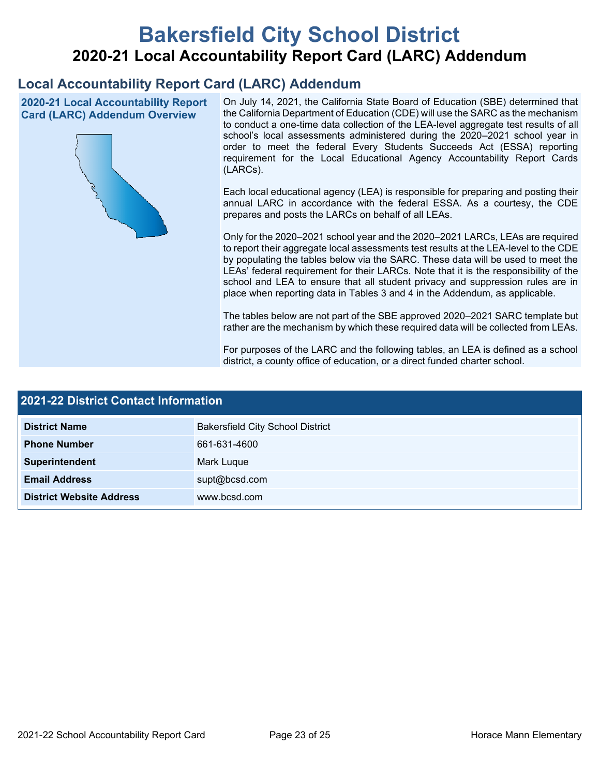# **Bakersfield City School District 2020-21 Local Accountability Report Card (LARC) Addendum**

## **Local Accountability Report Card (LARC) Addendum**

**2020-21 Local Accountability Report Card (LARC) Addendum Overview**



On July 14, 2021, the California State Board of Education (SBE) determined that the California Department of Education (CDE) will use the SARC as the mechanism to conduct a one-time data collection of the LEA-level aggregate test results of all school's local assessments administered during the 2020–2021 school year in order to meet the federal Every Students Succeeds Act (ESSA) reporting requirement for the Local Educational Agency Accountability Report Cards (LARCs).

Each local educational agency (LEA) is responsible for preparing and posting their annual LARC in accordance with the federal ESSA. As a courtesy, the CDE prepares and posts the LARCs on behalf of all LEAs.

Only for the 2020–2021 school year and the 2020–2021 LARCs, LEAs are required to report their aggregate local assessments test results at the LEA-level to the CDE by populating the tables below via the SARC. These data will be used to meet the LEAs' federal requirement for their LARCs. Note that it is the responsibility of the school and LEA to ensure that all student privacy and suppression rules are in place when reporting data in Tables 3 and 4 in the Addendum, as applicable.

The tables below are not part of the SBE approved 2020–2021 SARC template but rather are the mechanism by which these required data will be collected from LEAs.

For purposes of the LARC and the following tables, an LEA is defined as a school district, a county office of education, or a direct funded charter school.

| <b>2021-22 District Contact Information</b> |                                         |  |  |  |
|---------------------------------------------|-----------------------------------------|--|--|--|
| <b>District Name</b>                        | <b>Bakersfield City School District</b> |  |  |  |
| <b>Phone Number</b>                         | 661-631-4600                            |  |  |  |
| Superintendent                              | Mark Luque                              |  |  |  |
| <b>Email Address</b>                        | supt@bcsd.com                           |  |  |  |
| <b>District Website Address</b>             | www.bcsd.com                            |  |  |  |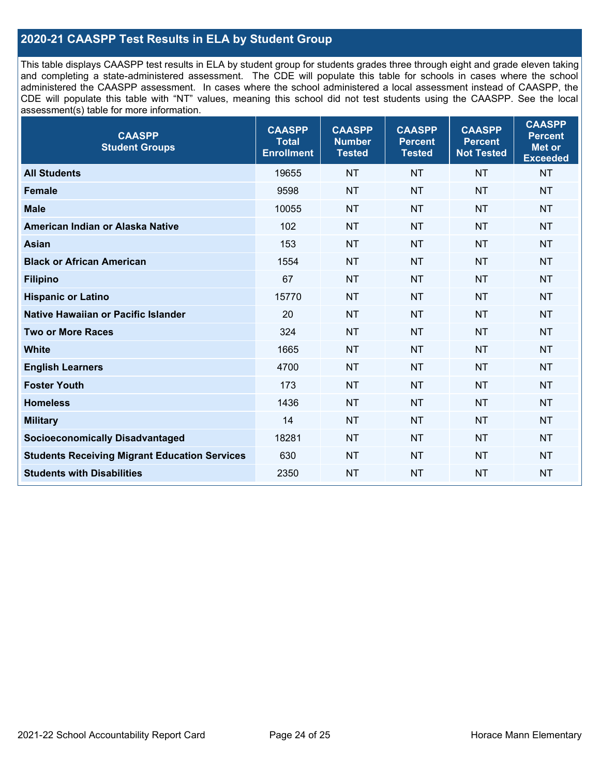## **2020-21 CAASPP Test Results in ELA by Student Group**

This table displays CAASPP test results in ELA by student group for students grades three through eight and grade eleven taking and completing a state-administered assessment. The CDE will populate this table for schools in cases where the school administered the CAASPP assessment. In cases where the school administered a local assessment instead of CAASPP, the CDE will populate this table with "NT" values, meaning this school did not test students using the CAASPP. See the local assessment(s) table for more information.

| <b>CAASPP</b><br><b>Student Groups</b>               | <b>CAASPP</b><br><b>Total</b><br><b>Enrollment</b> | <b>CAASPP</b><br><b>Number</b><br><b>Tested</b> | <b>CAASPP</b><br><b>Percent</b><br><b>Tested</b> | <b>CAASPP</b><br><b>Percent</b><br><b>Not Tested</b> | <b>CAASPP</b><br><b>Percent</b><br>Met or<br><b>Exceeded</b> |
|------------------------------------------------------|----------------------------------------------------|-------------------------------------------------|--------------------------------------------------|------------------------------------------------------|--------------------------------------------------------------|
| <b>All Students</b>                                  | 19655                                              | <b>NT</b>                                       | <b>NT</b>                                        | <b>NT</b>                                            | <b>NT</b>                                                    |
| <b>Female</b>                                        | 9598                                               | <b>NT</b>                                       | <b>NT</b>                                        | <b>NT</b>                                            | <b>NT</b>                                                    |
| <b>Male</b>                                          | 10055                                              | <b>NT</b>                                       | <b>NT</b>                                        | <b>NT</b>                                            | <b>NT</b>                                                    |
| American Indian or Alaska Native                     | 102                                                | <b>NT</b>                                       | <b>NT</b>                                        | <b>NT</b>                                            | <b>NT</b>                                                    |
| <b>Asian</b>                                         | 153                                                | <b>NT</b>                                       | <b>NT</b>                                        | <b>NT</b>                                            | <b>NT</b>                                                    |
| <b>Black or African American</b>                     | 1554                                               | <b>NT</b>                                       | <b>NT</b>                                        | <b>NT</b>                                            | <b>NT</b>                                                    |
| <b>Filipino</b>                                      | 67                                                 | <b>NT</b>                                       | <b>NT</b>                                        | <b>NT</b>                                            | <b>NT</b>                                                    |
| <b>Hispanic or Latino</b>                            | 15770                                              | <b>NT</b>                                       | <b>NT</b>                                        | <b>NT</b>                                            | <b>NT</b>                                                    |
| Native Hawaiian or Pacific Islander                  | 20                                                 | <b>NT</b>                                       | <b>NT</b>                                        | <b>NT</b>                                            | <b>NT</b>                                                    |
| <b>Two or More Races</b>                             | 324                                                | <b>NT</b>                                       | <b>NT</b>                                        | <b>NT</b>                                            | <b>NT</b>                                                    |
| <b>White</b>                                         | 1665                                               | <b>NT</b>                                       | <b>NT</b>                                        | <b>NT</b>                                            | <b>NT</b>                                                    |
| <b>English Learners</b>                              | 4700                                               | <b>NT</b>                                       | <b>NT</b>                                        | <b>NT</b>                                            | <b>NT</b>                                                    |
| <b>Foster Youth</b>                                  | 173                                                | <b>NT</b>                                       | <b>NT</b>                                        | <b>NT</b>                                            | <b>NT</b>                                                    |
| <b>Homeless</b>                                      | 1436                                               | <b>NT</b>                                       | <b>NT</b>                                        | <b>NT</b>                                            | <b>NT</b>                                                    |
| <b>Military</b>                                      | 14                                                 | <b>NT</b>                                       | <b>NT</b>                                        | <b>NT</b>                                            | <b>NT</b>                                                    |
| <b>Socioeconomically Disadvantaged</b>               | 18281                                              | <b>NT</b>                                       | <b>NT</b>                                        | <b>NT</b>                                            | <b>NT</b>                                                    |
| <b>Students Receiving Migrant Education Services</b> | 630                                                | <b>NT</b>                                       | <b>NT</b>                                        | <b>NT</b>                                            | NT                                                           |
| <b>Students with Disabilities</b>                    | 2350                                               | <b>NT</b>                                       | <b>NT</b>                                        | <b>NT</b>                                            | <b>NT</b>                                                    |